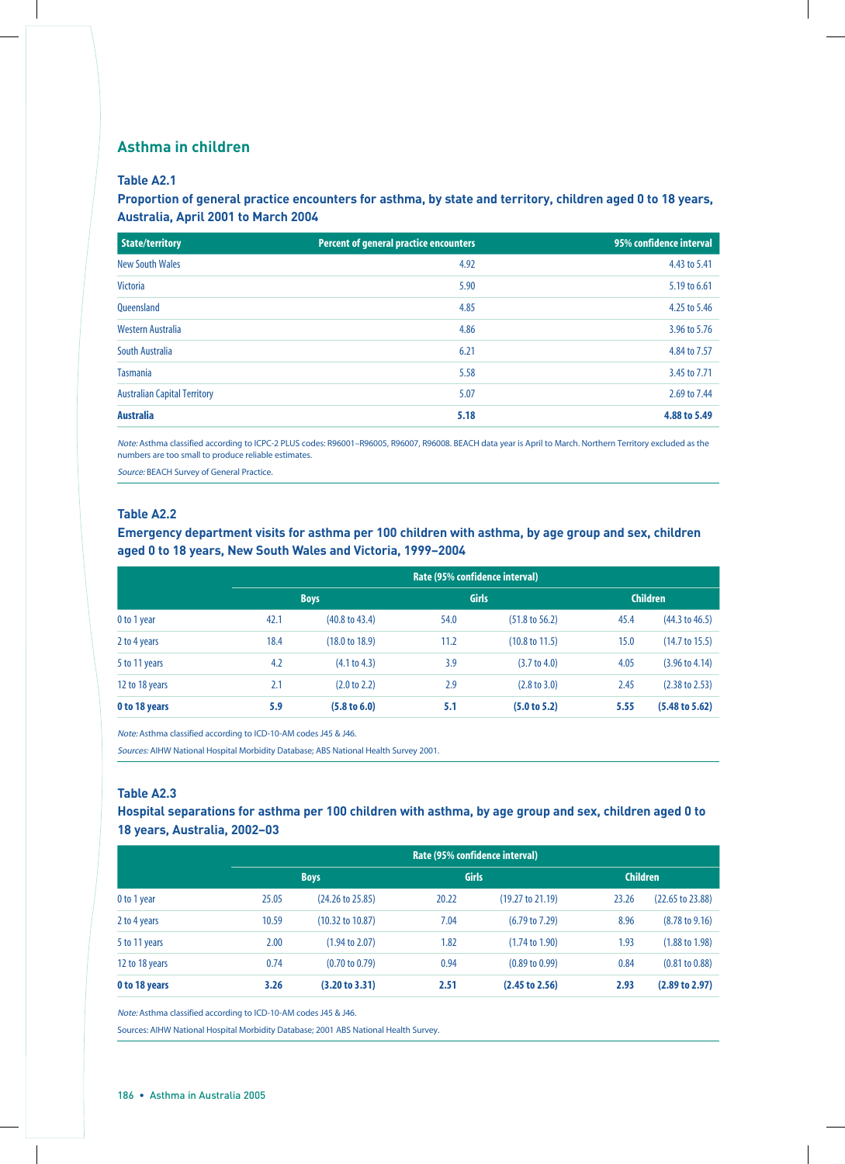### **Asthma in children**

#### **Table A2.1**

#### **Proportion of general practice encounters for asthma, by state and territory, children aged 0 to 18 years, Australia, April 2001 to March 2004**

| State/territory                     | <b>Percent of general practice encounters</b> | 95% confidence interval |
|-------------------------------------|-----------------------------------------------|-------------------------|
| <b>New South Wales</b>              | 4.92                                          | 4.43 to 5.41            |
| <b>Victoria</b>                     | 5.90                                          | 5.19 to 6.61            |
| <b>Oueensland</b>                   | 4.85                                          | 4.25 to 5.46            |
| Western Australia                   | 4.86                                          | 3.96 to 5.76            |
| South Australia                     | 6.21                                          | 4.84 to 7.57            |
| <b>Tasmania</b>                     | 5.58                                          | 3.45 to 7.71            |
| <b>Australian Capital Territory</b> | 5.07                                          | 2.69 to 7.44            |
| <b>Australia</b>                    | 5.18                                          | 4.88 to 5.49            |

Note: Asthma classified according to ICPC-2 PLUS codes: R96001–R96005, R96007, R96008. BEACH data year is April to March. Northern Territory excluded as the numbers are too small to produce reliable estimates.

Source: BEACH Survey of General Practice.

#### **Table A2.2**

**Emergency department visits for asthma per 100 children with asthma, by age group and sex, children aged 0 to 18 years, New South Wales and Victoria, 1999–2004**

|                | Rate (95% confidence interval) |                           |      |                           |                 |                           |  |  |
|----------------|--------------------------------|---------------------------|------|---------------------------|-----------------|---------------------------|--|--|
|                |                                | <b>Boys</b>               |      | <b>Girls</b>              | <b>Children</b> |                           |  |  |
| 0 to 1 year    | 42.1                           | $(40.8 \text{ to } 43.4)$ | 54.0 | $(51.8 \text{ to } 56.2)$ | 45.4            | $(44.3 \text{ to } 46.5)$ |  |  |
| 2 to 4 years   | 18.4                           | (18.0 to 18.9)            | 11.2 | $(10.8 \text{ to } 11.5)$ | 15.0            | $(14.7 \text{ to } 15.5)$ |  |  |
| 5 to 11 years  | 4.2                            | (4.1 to 4.3)              | 3.9  | $(3.7 \text{ to } 4.0)$   | 4.05            | $(3.96 \text{ to } 4.14)$ |  |  |
| 12 to 18 years | 2.1                            | $(2.0 \text{ to } 2.2)$   | 2.9  | $(2.8 \text{ to } 3.0)$   | 2.45            | $(2.38 \text{ to } 2.53)$ |  |  |
| 0 to 18 years  | 5.9                            | $(5.8 \text{ to } 6.0)$   | 5.1  | (5.0 to 5.2)              | 5.55            | $(5.48 \text{ to } 5.62)$ |  |  |

Note: Asthma classified according to ICD-10-AM codes J45 & J46.

Sources: AIHW National Hospital Morbidity Database; ABS National Health Survey 2001.

#### **Table A2.3**

**Hospital separations for asthma per 100 children with asthma, by age group and sex, children aged 0 to 18 years, Australia, 2002–03**

|                |       | Rate (95% confidence interval) |       |                           |                 |                             |  |  |  |
|----------------|-------|--------------------------------|-------|---------------------------|-----------------|-----------------------------|--|--|--|
|                |       | <b>Boys</b>                    |       | <b>Girls</b>              | <b>Children</b> |                             |  |  |  |
| 0 to 1 year    | 25.05 | $(24.26 \text{ to } 25.85)$    | 20.22 | (19.27 to 21.19)          | 23.26           | $(22.65 \text{ to } 23.88)$ |  |  |  |
| 2 to 4 years   | 10.59 | $(10.32 \text{ to } 10.87)$    | 7.04  | $(6.79 \text{ to } 7.29)$ | 8.96            | $(8.78 \text{ to } 9.16)$   |  |  |  |
| 5 to 11 years  | 2.00  | (1.94 to 2.07)                 | 1.82  | $(1.74 \text{ to } 1.90)$ | 1.93            | $(1.88 \text{ to } 1.98)$   |  |  |  |
| 12 to 18 years | 0.74  | $(0.70 \text{ to } 0.79)$      | 0.94  | $(0.89 \text{ to } 0.99)$ | 0.84            | $(0.81 \text{ to } 0.88)$   |  |  |  |
| 0 to 18 years  | 3.26  | (3.20 to 3.31)                 | 2.51  | (2.45 to 2.56)            | 2.93            | (2.89 to 2.97)              |  |  |  |

Note: Asthma classified according to ICD-10-AM codes J45 & J46.

Sources: AIHW National Hospital Morbidity Database; 2001 ABS National Health Survey.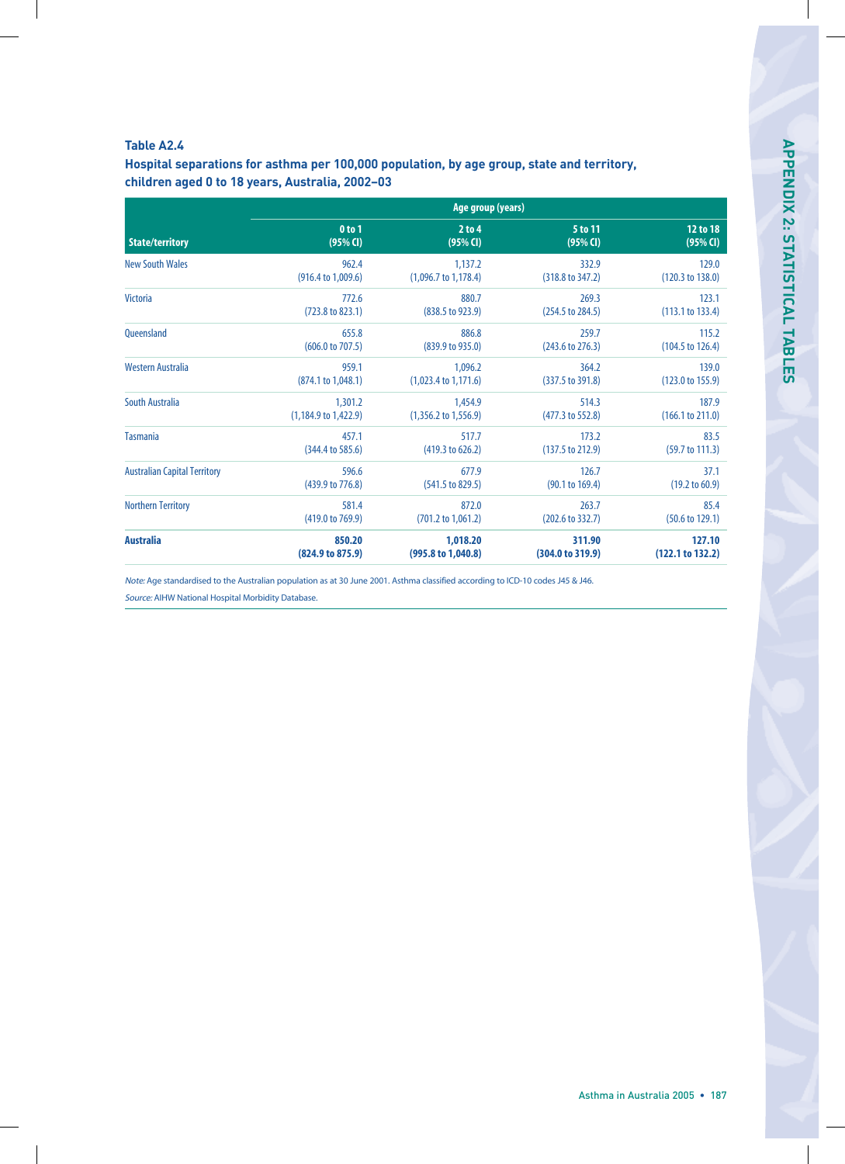#### **Table A2.4**

**Hospital separations for asthma per 100,000 population, by age group, state and territory, children aged 0 to 18 years, Australia, 2002–03**

|                                     | Age group (years)               |                                 |                             |                             |  |  |  |  |
|-------------------------------------|---------------------------------|---------------------------------|-----------------------------|-----------------------------|--|--|--|--|
| <b>State/territory</b>              | $0$ to $1$                      | $2$ to 4                        | 5 to 11                     | 12 to 18                    |  |  |  |  |
|                                     | $(95%$ CI)                      | $(95%$ CI)                      | $(95%$ CI)                  | $(95%$ CI)                  |  |  |  |  |
| <b>New South Wales</b>              | 962.4                           | 1,137.2                         | 332.9                       | 129.0                       |  |  |  |  |
|                                     | $(916.4 \text{ to } 1,009.6)$   | $(1,096.7 \text{ to } 1,178.4)$ | $(318.8 \text{ to } 347.2)$ | (120.3 to 138.0)            |  |  |  |  |
| <b>Victoria</b>                     | 772.6                           | 880.7                           | 269.3                       | 123.1                       |  |  |  |  |
|                                     | $(723.8 \text{ to } 823.1)$     | $(838.5 \text{ to } 923.9)$     | $(254.5 \text{ to } 284.5)$ | (113.1 to 133.4)            |  |  |  |  |
| <b>Oueensland</b>                   | 655.8                           | 886.8                           | 259.7                       | 115.2                       |  |  |  |  |
|                                     | $(606.0 \text{ to } 707.5)$     | (839.9 to 935.0)                | $(243.6 \text{ to } 276.3)$ | $(104.5 \text{ to } 126.4)$ |  |  |  |  |
| Western Australia                   | 959.1                           | 1,096.2                         | 364.2                       | 139.0                       |  |  |  |  |
|                                     | (874.1 to 1,048.1)              | $(1,023.4 \text{ to } 1,171.6)$ | $(337.5 \text{ to } 391.8)$ | $(123.0 \text{ to } 155.9)$ |  |  |  |  |
| <b>South Australia</b>              | 1,301.2                         | 1,454.9                         | 514.3                       | 187.9                       |  |  |  |  |
|                                     | $(1,184.9 \text{ to } 1,422.9)$ | $(1,356.2 \text{ to } 1,556.9)$ | (477.3 to 552.8)            | (166.1 to 211.0)            |  |  |  |  |
| <b>Tasmania</b>                     | 457.1                           | 517.7                           | 173.2                       | 83.5                        |  |  |  |  |
|                                     | $(344.4 \text{ to } 585.6)$     | (419.3 to 626.2)                | $(137.5 \text{ to } 212.9)$ | $(59.7 \text{ to } 111.3)$  |  |  |  |  |
| <b>Australian Capital Territory</b> | 596.6                           | 677.9                           | 126.7                       | 37.1                        |  |  |  |  |
|                                     | (439.9 to 776.8)                | $(541.5 \text{ to } 829.5)$     | (90.1 to 169.4)             | $(19.2 \text{ to } 60.9)$   |  |  |  |  |
| <b>Northern Territory</b>           | 581.4                           | 872.0                           | 263.7                       | 85.4                        |  |  |  |  |
|                                     | (419.0 to 769.9)                | $(701.2 \text{ to } 1,061.2)$   | (202.6 to 332.7)            | $(50.6 \text{ to } 129.1)$  |  |  |  |  |
| <b>Australia</b>                    | 850.20                          | 1,018.20                        | 311.90                      | 127.10                      |  |  |  |  |
|                                     | (824.9 to 875.9)                | $(995.8 \text{ to } 1,040.8)$   | $(304.0 \text{ to } 319.9)$ | (122.1 to 132.2)            |  |  |  |  |

Note: Age standardised to the Australian population as at 30 June 2001. Asthma classified according to ICD-10 codes J45 & J46.

Source: AIHW National Hospital Morbidity Database.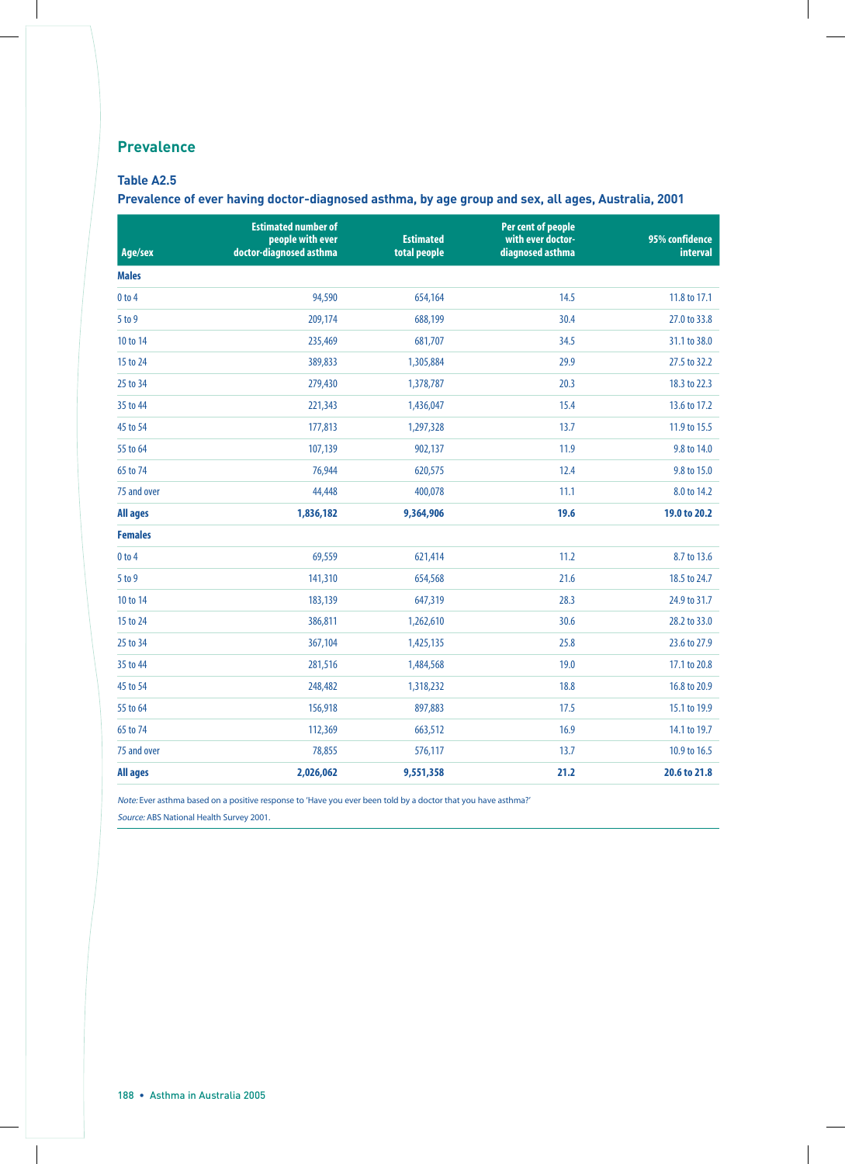## **Prevalence**

#### **Table A2.5**

**Prevalence of ever having doctor-diagnosed asthma, by age group and sex, all ages, Australia, 2001**

| Age/sex         | <b>Estimated number of</b><br>people with ever<br>doctor-diagnosed asthma | <b>Estimated</b><br>total people | Per cent of people<br>with ever doctor-<br>diagnosed asthma | 95% confidence<br><b>interval</b> |
|-----------------|---------------------------------------------------------------------------|----------------------------------|-------------------------------------------------------------|-----------------------------------|
| <b>Males</b>    |                                                                           |                                  |                                                             |                                   |
| $0$ to $4$      | 94,590                                                                    | 654,164                          | 14.5                                                        | 11.8 to 17.1                      |
| 5 to 9          | 209,174                                                                   | 688,199                          | 30.4                                                        | 27.0 to 33.8                      |
| 10 to 14        | 235,469                                                                   | 681,707                          | 34.5                                                        | 31.1 to 38.0                      |
| 15 to 24        | 389,833                                                                   | 1,305,884                        | 29.9                                                        | 27.5 to 32.2                      |
| 25 to 34        | 279,430                                                                   | 1,378,787                        | 20.3                                                        | 18.3 to 22.3                      |
| 35 to 44        | 221,343                                                                   | 1,436,047                        | 15.4                                                        | 13.6 to 17.2                      |
| 45 to 54        | 177,813                                                                   | 1,297,328                        | 13.7                                                        | 11.9 to 15.5                      |
| 55 to 64        | 107,139                                                                   | 902,137                          | 11.9                                                        | 9.8 to 14.0                       |
| 65 to 74        | 76,944                                                                    | 620,575                          | 12.4                                                        | 9.8 to 15.0                       |
| 75 and over     | 44,448                                                                    | 400,078                          | 11.1                                                        | 8.0 to 14.2                       |
| <b>All ages</b> | 1,836,182                                                                 | 9,364,906                        | 19.6                                                        | 19.0 to 20.2                      |
| <b>Females</b>  |                                                                           |                                  |                                                             |                                   |
| $0$ to $4$      | 69,559                                                                    | 621,414                          | 11.2                                                        | 8.7 to 13.6                       |
| 5 to 9          | 141,310                                                                   | 654,568                          | 21.6                                                        | 18.5 to 24.7                      |
| 10 to 14        | 183,139                                                                   | 647,319                          | 28.3                                                        | 24.9 to 31.7                      |
| 15 to 24        | 386,811                                                                   | 1,262,610                        | 30.6                                                        | 28.2 to 33.0                      |
| 25 to 34        | 367,104                                                                   | 1,425,135                        | 25.8                                                        | 23.6 to 27.9                      |
| 35 to 44        | 281,516                                                                   | 1,484,568                        | 19.0                                                        | 17.1 to 20.8                      |
| 45 to 54        | 248,482                                                                   | 1,318,232                        | 18.8                                                        | 16.8 to 20.9                      |
| 55 to 64        | 156,918                                                                   | 897,883                          | 17.5                                                        | 15.1 to 19.9                      |
| 65 to 74        | 112,369                                                                   | 663,512                          | 16.9                                                        | 14.1 to 19.7                      |
| 75 and over     | 78,855                                                                    | 576,117                          | 13.7                                                        | 10.9 to 16.5                      |
| <b>All ages</b> | 2,026,062                                                                 | 9,551,358                        | 21.2                                                        | 20.6 to 21.8                      |

Note: Ever asthma based on a positive response to 'Have you ever been told by a doctor that you have asthma?'

Source: ABS National Health Survey 2001.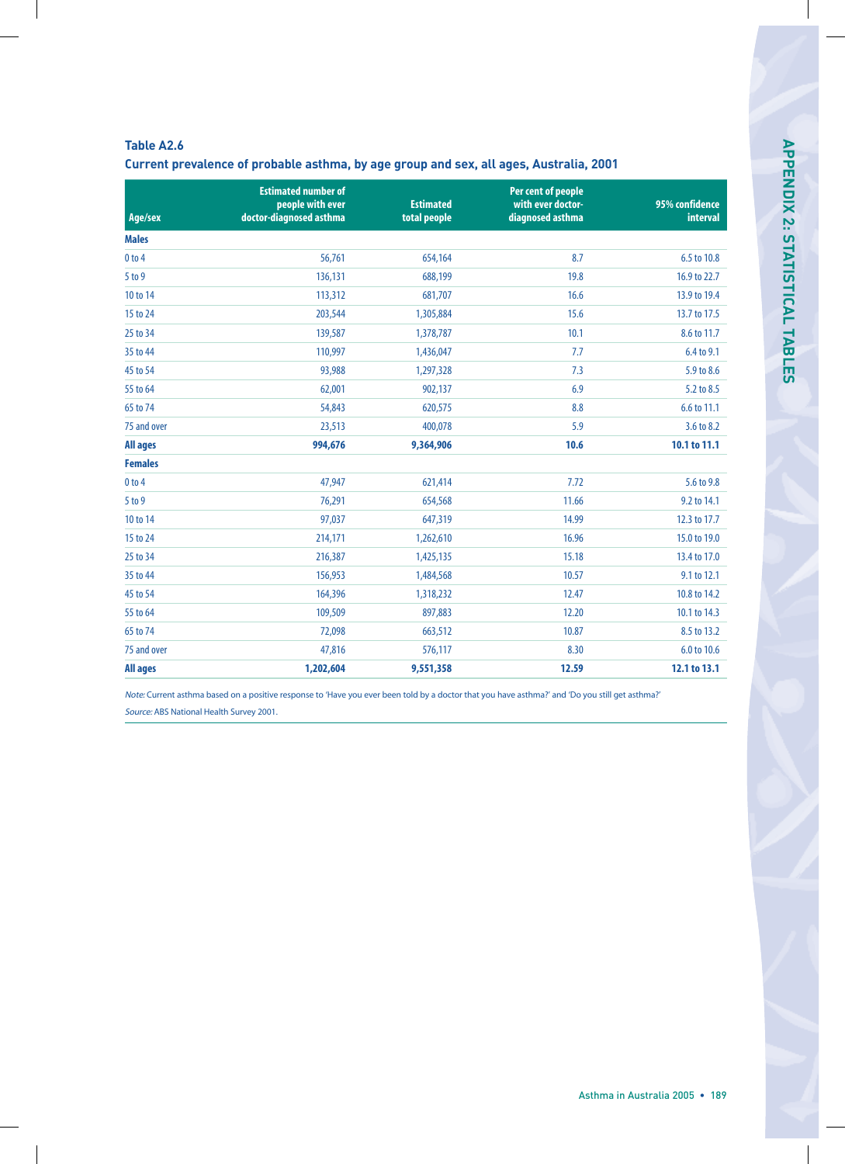| $\sim$ |  |
|--------|--|
|        |  |
|        |  |

**Current prevalence of probable asthma, by age group and sex, all ages, Australia, 2001**

| Age/sex         | <b>Estimated number of</b><br>people with ever<br>doctor-diagnosed asthma | <b>Estimated</b><br>total people | Per cent of people<br>with ever doctor-<br>diagnosed asthma | 95% confidence<br>interval |
|-----------------|---------------------------------------------------------------------------|----------------------------------|-------------------------------------------------------------|----------------------------|
| <b>Males</b>    |                                                                           |                                  |                                                             |                            |
| $0$ to $4$      | 56,761                                                                    | 654,164                          | 8.7                                                         | 6.5 to 10.8                |
| 5 to 9          | 136,131                                                                   | 688,199                          | 19.8                                                        | 16.9 to 22.7               |
| 10 to 14        | 113,312                                                                   | 681,707                          | 16.6                                                        | 13.9 to 19.4               |
| 15 to 24        | 203,544                                                                   | 1,305,884                        | 15.6                                                        | 13.7 to 17.5               |
| 25 to 34        | 139,587                                                                   | 1,378,787                        | 10.1                                                        | 8.6 to 11.7                |
| 35 to 44        | 110,997                                                                   | 1,436,047                        | 7.7                                                         | 6.4 to 9.1                 |
| 45 to 54        | 93,988                                                                    | 1,297,328                        | 7.3                                                         | 5.9 to 8.6                 |
| 55 to 64        | 62,001                                                                    | 902,137                          | 6.9                                                         | 5.2 to 8.5                 |
| 65 to 74        | 54,843                                                                    | 620,575                          | 8.8                                                         | 6.6 to 11.1                |
| 75 and over     | 23,513                                                                    | 400,078                          | 5.9                                                         | 3.6 to 8.2                 |
| <b>All ages</b> | 994,676                                                                   | 9,364,906                        | 10.6                                                        | 10.1 to 11.1               |
| <b>Females</b>  |                                                                           |                                  |                                                             |                            |
| $0$ to $4$      | 47,947                                                                    | 621,414                          | 7.72                                                        | 5.6 to 9.8                 |
| 5 to 9          | 76,291                                                                    | 654,568                          | 11.66                                                       | 9.2 to 14.1                |
| 10 to 14        | 97,037                                                                    | 647,319                          | 14.99                                                       | 12.3 to 17.7               |
| 15 to 24        | 214,171                                                                   | 1,262,610                        | 16.96                                                       | 15.0 to 19.0               |
| 25 to 34        | 216,387                                                                   | 1,425,135                        | 15.18                                                       | 13.4 to 17.0               |
| 35 to 44        | 156,953                                                                   | 1,484,568                        | 10.57                                                       | 9.1 to 12.1                |
| 45 to 54        | 164,396                                                                   | 1,318,232                        | 12.47                                                       | 10.8 to 14.2               |
| 55 to 64        | 109,509                                                                   | 897,883                          | 12.20                                                       | 10.1 to 14.3               |
| 65 to 74        | 72,098                                                                    | 663,512                          | 10.87                                                       | 8.5 to 13.2                |
| 75 and over     | 47,816                                                                    | 576,117                          | 8.30                                                        | 6.0 to 10.6                |
| <b>All ages</b> | 1,202,604                                                                 | 9,551,358                        | 12.59                                                       | 12.1 to 13.1               |

Note: Current asthma based on a positive response to 'Have you ever been told by a doctor that you have asthma?' and 'Do you still get asthma?' Source: ABS National Health Survey 2001.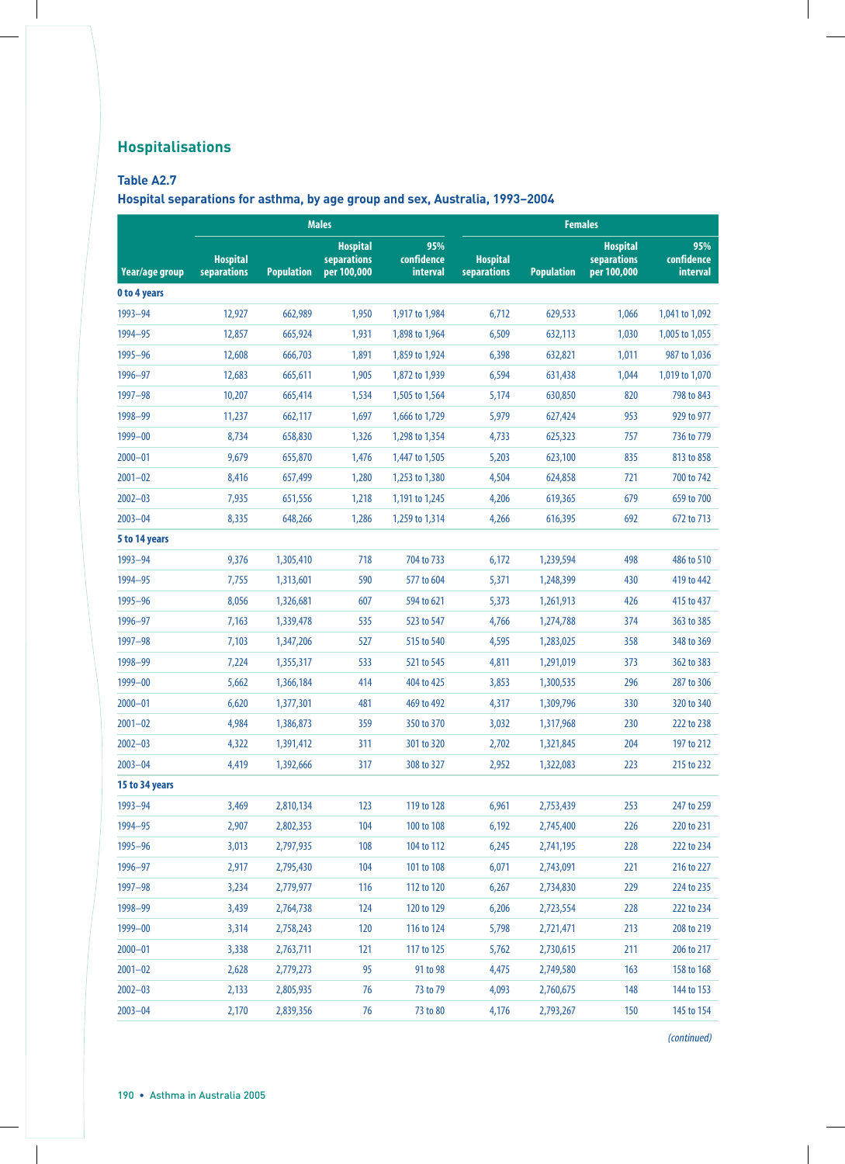# **Hospitalisations**

### **Table A2.7**

**Hospital separations for asthma, by age group and sex, Australia, 1993–2004**

|                     | <b>Males</b>                   |                   |                                               |                               | <b>Females</b>                 |                   |                                               |                               |
|---------------------|--------------------------------|-------------------|-----------------------------------------------|-------------------------------|--------------------------------|-------------------|-----------------------------------------------|-------------------------------|
| Year/age group      | <b>Hospital</b><br>separations | <b>Population</b> | <b>Hospital</b><br>separations<br>per 100,000 | 95%<br>confidence<br>interval | <b>Hospital</b><br>separations | <b>Population</b> | <b>Hospital</b><br>separations<br>per 100,000 | 95%<br>confidence<br>interval |
| <b>0 to 4 years</b> |                                |                   |                                               |                               |                                |                   |                                               |                               |
| 1993-94             | 12,927                         | 662,989           | 1,950                                         | 1,917 to 1,984                | 6,712                          | 629,533           | 1,066                                         | 1,041 to 1,092                |
| 1994-95             | 12,857                         | 665,924           | 1,931                                         | 1,898 to 1,964                | 6,509                          | 632,113           | 1,030                                         | 1,005 to 1,055                |
| 1995-96             | 12,608                         | 666,703           | 1,891                                         | 1,859 to 1,924                | 6,398                          | 632,821           | 1,011                                         | 987 to 1,036                  |
| 1996-97             | 12,683                         | 665,611           | 1,905                                         | 1,872 to 1,939                | 6,594                          | 631,438           | 1,044                                         | 1,019 to 1,070                |
| 1997-98             | 10,207                         | 665,414           | 1,534                                         | 1,505 to 1,564                | 5,174                          | 630,850           | 820                                           | 798 to 843                    |
| 1998-99             | 11,237                         | 662,117           | 1,697                                         | 1,666 to 1,729                | 5,979                          | 627,424           | 953                                           | 929 to 977                    |
| 1999-00             | 8,734                          | 658,830           | 1,326                                         | 1,298 to 1,354                | 4,733                          | 625,323           | 757                                           | 736 to 779                    |
| $2000 - 01$         | 9,679                          | 655,870           | 1,476                                         | 1,447 to 1,505                | 5,203                          | 623,100           | 835                                           | 813 to 858                    |
| $2001 - 02$         | 8,416                          | 657,499           | 1,280                                         | 1,253 to 1,380                | 4,504                          | 624,858           | 721                                           | 700 to 742                    |
| $2002 - 03$         | 7,935                          | 651,556           | 1,218                                         | 1,191 to 1,245                | 4,206                          | 619,365           | 679                                           | 659 to 700                    |
| $2003 - 04$         | 8,335                          | 648,266           | 1,286                                         | 1,259 to 1,314                | 4,266                          | 616,395           | 692                                           | 672 to 713                    |
| 5 to 14 years       |                                |                   |                                               |                               |                                |                   |                                               |                               |
| 1993-94             | 9,376                          | 1,305,410         | 718                                           | 704 to 733                    | 6,172                          | 1,239,594         | 498                                           | 486 to 510                    |
| 1994-95             | 7,755                          | 1,313,601         | 590                                           | 577 to 604                    | 5,371                          | 1,248,399         | 430                                           | 419 to 442                    |
| 1995-96             | 8,056                          | 1,326,681         | 607                                           | 594 to 621                    | 5,373                          | 1,261,913         | 426                                           | 415 to 437                    |
| 1996-97             | 7,163                          | 1,339,478         | 535                                           | 523 to 547                    | 4,766                          | 1,274,788         | 374                                           | 363 to 385                    |
| 1997-98             | 7,103                          | 1,347,206         | 527                                           | 515 to 540                    | 4,595                          | 1,283,025         | 358                                           | 348 to 369                    |
| 1998-99             | 7,224                          | 1,355,317         | 533                                           | 521 to 545                    | 4,811                          | 1,291,019         | 373                                           | 362 to 383                    |
| 1999-00             | 5,662                          | 1,366,184         | 414                                           | 404 to 425                    | 3,853                          | 1,300,535         | 296                                           | 287 to 306                    |
| $2000 - 01$         | 6,620                          | 1,377,301         | 481                                           | 469 to 492                    | 4,317                          | 1,309,796         | 330                                           | 320 to 340                    |
| $2001 - 02$         | 4,984                          | 1,386,873         | 359                                           | 350 to 370                    | 3,032                          | 1,317,968         | 230                                           | 222 to 238                    |
| $2002 - 03$         | 4,322                          | 1,391,412         | 311                                           | 301 to 320                    | 2,702                          | 1,321,845         | 204                                           | 197 to 212                    |
| $2003 - 04$         | 4,419                          | 1,392,666         | 317                                           | 308 to 327                    | 2,952                          | 1,322,083         | 223                                           | 215 to 232                    |
| 15 to 34 years      |                                |                   |                                               |                               |                                |                   |                                               |                               |
| 1993-94             | 3,469                          | 2,810,134         | 123                                           | 119 to 128                    | 6,961                          | 2,753,439         | 253                                           | 247 to 259                    |
| 1994-95             | 2,907                          | 2,802,353         | 104                                           | 100 to 108                    | 6,192                          | 2,745,400         | 226                                           | 220 to 231                    |
| 1995-96             | 3,013                          | 2,797,935         | 108                                           | 104 to 112                    | 6,245                          | 2,741,195         | 228                                           | 222 to 234                    |
| 1996-97             | 2,917                          | 2,795,430         | 104                                           | 101 to 108                    | 6,071                          | 2,743,091         | 221                                           | 216 to 227                    |
| 1997-98             | 3,234                          | 2,779,977         | 116                                           | 112 to 120                    | 6,267                          | 2,734,830         | 229                                           | 224 to 235                    |
| 1998-99             | 3,439                          | 2,764,738         | 124                                           | 120 to 129                    | 6,206                          | 2,723,554         | 228                                           | 222 to 234                    |
| 1999-00             | 3,314                          | 2,758,243         | 120                                           | 116 to 124                    | 5,798                          | 2,721,471         | 213                                           | 208 to 219                    |
| $2000 - 01$         | 3,338                          | 2,763,711         | 121                                           | 117 to 125                    | 5,762                          | 2,730,615         | 211                                           | 206 to 217                    |
| $2001 - 02$         | 2,628                          | 2,779,273         | 95                                            | 91 to 98                      | 4,475                          | 2,749,580         | 163                                           | 158 to 168                    |
| $2002 - 03$         | 2,133                          | 2,805,935         | 76                                            | 73 to 79                      | 4,093                          | 2,760,675         | 148                                           | 144 to 153                    |
| $2003 - 04$         | 2,170                          | 2,839,356         | 76                                            | 73 to 80                      | 4,176                          | 2,793,267         | 150                                           | 145 to 154                    |

(continued)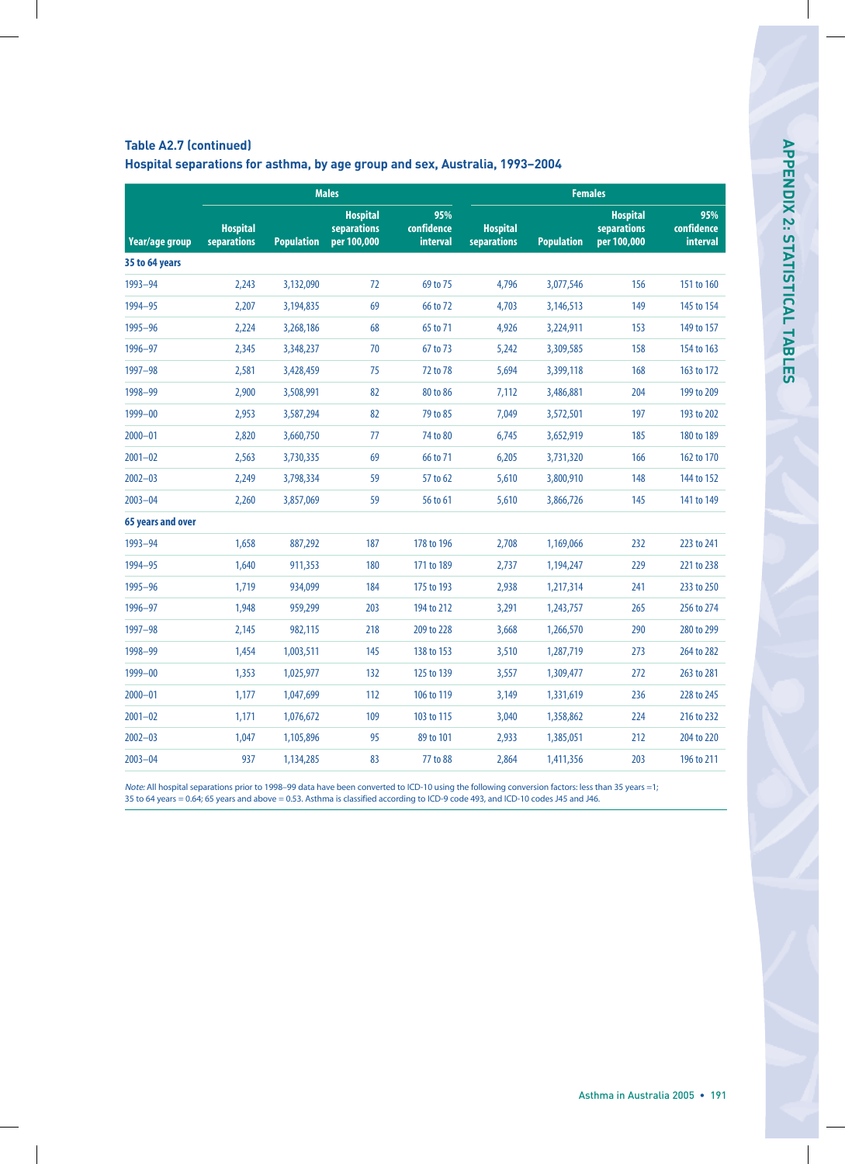#### **Table A2.7 (continued)**

|  | Hospital separations for asthma, by age group and sex, Australia, 1993-2004 |  |  |  |  |
|--|-----------------------------------------------------------------------------|--|--|--|--|
|--|-----------------------------------------------------------------------------|--|--|--|--|

|                          |                                |                   | <b>Males</b>                                  |                                      | <b>Females</b>                        |                   |                                                      |                                      |
|--------------------------|--------------------------------|-------------------|-----------------------------------------------|--------------------------------------|---------------------------------------|-------------------|------------------------------------------------------|--------------------------------------|
| Year/age group           | <b>Hospital</b><br>separations | <b>Population</b> | <b>Hospital</b><br>separations<br>per 100,000 | 95%<br>confidence<br><b>interval</b> | <b>Hospital</b><br><b>separations</b> | <b>Population</b> | <b>Hospital</b><br><b>separations</b><br>per 100,000 | 95%<br>confidence<br><b>interval</b> |
| 35 to 64 years           |                                |                   |                                               |                                      |                                       |                   |                                                      |                                      |
| 1993-94                  | 2,243                          | 3,132,090         | 72                                            | 69 to 75                             | 4,796                                 | 3,077,546         | 156                                                  | 151 to 160                           |
| 1994-95                  | 2,207                          | 3,194,835         | 69                                            | 66 to 72                             | 4,703                                 | 3,146,513         | 149                                                  | 145 to 154                           |
| 1995-96                  | 2,224                          | 3,268,186         | 68                                            | 65 to 71                             | 4,926                                 | 3,224,911         | 153                                                  | 149 to 157                           |
| 1996-97                  | 2,345                          | 3,348,237         | 70                                            | 67 to 73                             | 5,242                                 | 3,309,585         | 158                                                  | 154 to 163                           |
| $1997 - 98$              | 2,581                          | 3,428,459         | 75                                            | 72 to 78                             | 5,694                                 | 3,399,118         | 168                                                  | 163 to 172                           |
| 1998-99                  | 2,900                          | 3,508,991         | 82                                            | 80 to 86                             | 7,112                                 | 3,486,881         | 204                                                  | 199 to 209                           |
| 1999-00                  | 2,953                          | 3,587,294         | 82                                            | 79 to 85                             | 7,049                                 | 3,572,501         | 197                                                  | 193 to 202                           |
| $2000 - 01$              | 2,820                          | 3,660,750         | 77                                            | 74 to 80                             | 6,745                                 | 3,652,919         | 185                                                  | 180 to 189                           |
| $2001 - 02$              | 2,563                          | 3,730,335         | 69                                            | 66 to 71                             | 6,205                                 | 3,731,320         | 166                                                  | 162 to 170                           |
| $2002 - 03$              | 2,249                          | 3,798,334         | 59                                            | 57 to 62                             | 5,610                                 | 3,800,910         | 148                                                  | 144 to 152                           |
| $2003 - 04$              | 2,260                          | 3,857,069         | 59                                            | 56 to 61                             | 5,610                                 | 3,866,726         | 145                                                  | 141 to 149                           |
| <b>65 years and over</b> |                                |                   |                                               |                                      |                                       |                   |                                                      |                                      |
| 1993-94                  | 1,658                          | 887,292           | 187                                           | 178 to 196                           | 2,708                                 | 1,169,066         | 232                                                  | 223 to 241                           |
| 1994-95                  | 1,640                          | 911,353           | 180                                           | 171 to 189                           | 2,737                                 | 1,194,247         | 229                                                  | 221 to 238                           |
| 1995-96                  | 1,719                          | 934,099           | 184                                           | 175 to 193                           | 2,938                                 | 1,217,314         | 241                                                  | 233 to 250                           |
| 1996-97                  | 1,948                          | 959,299           | 203                                           | 194 to 212                           | 3,291                                 | 1,243,757         | 265                                                  | 256 to 274                           |
| $1997 - 98$              | 2,145                          | 982,115           | 218                                           | 209 to 228                           | 3,668                                 | 1,266,570         | 290                                                  | 280 to 299                           |
| 1998-99                  | 1,454                          | 1,003,511         | 145                                           | 138 to 153                           | 3,510                                 | 1,287,719         | 273                                                  | 264 to 282                           |
| 1999-00                  | 1,353                          | 1,025,977         | 132                                           | 125 to 139                           | 3,557                                 | 1,309,477         | 272                                                  | 263 to 281                           |
| $2000 - 01$              | 1,177                          | 1,047,699         | 112                                           | 106 to 119                           | 3,149                                 | 1,331,619         | 236                                                  | 228 to 245                           |
| $2001 - 02$              | 1,171                          | 1,076,672         | 109                                           | 103 to 115                           | 3,040                                 | 1,358,862         | 224                                                  | 216 to 232                           |
| $2002 - 03$              | 1,047                          | 1,105,896         | 95                                            | 89 to 101                            | 2,933                                 | 1,385,051         | 212                                                  | 204 to 220                           |
| $2003 - 04$              | 937                            | 1,134,285         | 83                                            | 77 to 88                             | 2,864                                 | 1,411,356         | 203                                                  | 196 to 211                           |
|                          |                                |                   |                                               |                                      |                                       |                   |                                                      |                                      |

Note: All hospital separations prior to 1998–99 data have been converted to ICD-10 using the following conversion factors: less than 35 years =1; 35 to 64 years = 0.64; 65 years and above = 0.53. Asthma is classified according to ICD-9 code 493, and ICD-10 codes J45 and J46.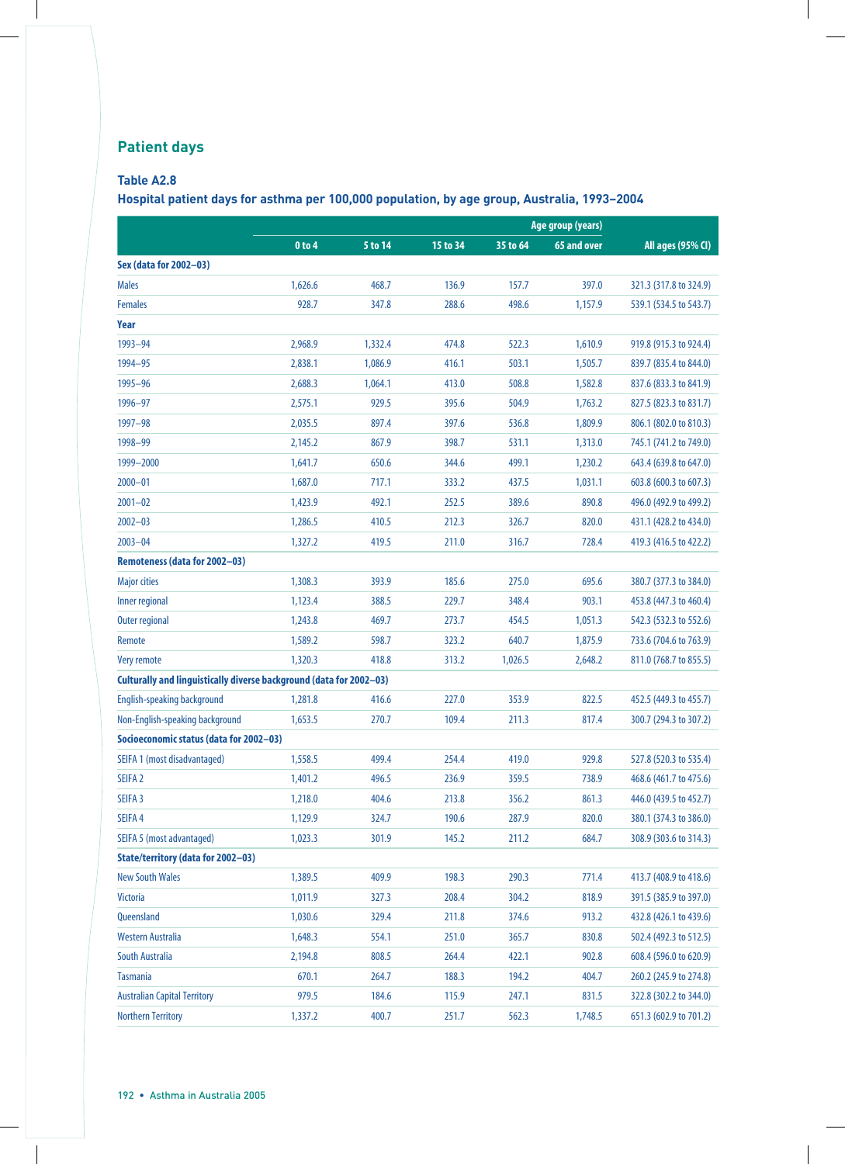# **Patient days**

### **Table A2.8**

**Hospital patient days for asthma per 100,000 population, by age group, Australia, 1993–2004**

|                                                                     |            |         |          |          | Age group (years) |                        |
|---------------------------------------------------------------------|------------|---------|----------|----------|-------------------|------------------------|
|                                                                     | $0$ to $4$ | 5 to 14 | 15 to 34 | 35 to 64 | 65 and over       | All ages (95% CI)      |
| Sex (data for 2002-03)                                              |            |         |          |          |                   |                        |
| <b>Males</b>                                                        | 1,626.6    | 468.7   | 136.9    | 157.7    | 397.0             | 321.3 (317.8 to 324.9) |
| <b>Females</b>                                                      | 928.7      | 347.8   | 288.6    | 498.6    | 1,157.9           | 539.1 (534.5 to 543.7) |
| Year                                                                |            |         |          |          |                   |                        |
| 1993-94                                                             | 2,968.9    | 1,332.4 | 474.8    | 522.3    | 1,610.9           | 919.8 (915.3 to 924.4) |
| 1994-95                                                             | 2,838.1    | 1,086.9 | 416.1    | 503.1    | 1,505.7           | 839.7 (835.4 to 844.0) |
| 1995-96                                                             | 2,688.3    | 1,064.1 | 413.0    | 508.8    | 1,582.8           | 837.6 (833.3 to 841.9) |
| 1996-97                                                             | 2,575.1    | 929.5   | 395.6    | 504.9    | 1,763.2           | 827.5 (823.3 to 831.7) |
| 1997-98                                                             | 2,035.5    | 897.4   | 397.6    | 536.8    | 1,809.9           | 806.1 (802.0 to 810.3) |
| 1998-99                                                             | 2,145.2    | 867.9   | 398.7    | 531.1    | 1,313.0           | 745.1 (741.2 to 749.0) |
| 1999-2000                                                           | 1,641.7    | 650.6   | 344.6    | 499.1    | 1,230.2           | 643.4 (639.8 to 647.0) |
| $2000 - 01$                                                         | 1,687.0    | 717.1   | 333.2    | 437.5    | 1,031.1           | 603.8 (600.3 to 607.3) |
| $2001 - 02$                                                         | 1,423.9    | 492.1   | 252.5    | 389.6    | 890.8             | 496.0 (492.9 to 499.2) |
| $2002 - 03$                                                         | 1,286.5    | 410.5   | 212.3    | 326.7    | 820.0             | 431.1 (428.2 to 434.0) |
| $2003 - 04$                                                         | 1,327.2    | 419.5   | 211.0    | 316.7    | 728.4             | 419.3 (416.5 to 422.2) |
| Remoteness (data for 2002-03)                                       |            |         |          |          |                   |                        |
| <b>Major cities</b>                                                 | 1,308.3    | 393.9   | 185.6    | 275.0    | 695.6             | 380.7 (377.3 to 384.0) |
| <b>Inner regional</b>                                               | 1,123.4    | 388.5   | 229.7    | 348.4    | 903.1             | 453.8 (447.3 to 460.4) |
| <b>Outer regional</b>                                               | 1,243.8    | 469.7   | 273.7    | 454.5    | 1,051.3           | 542.3 (532.3 to 552.6) |
| Remote                                                              | 1,589.2    | 598.7   | 323.2    | 640.7    | 1,875.9           | 733.6 (704.6 to 763.9) |
| Very remote                                                         | 1,320.3    | 418.8   | 313.2    | 1,026.5  | 2,648.2           | 811.0 (768.7 to 855.5) |
| Culturally and linguistically diverse background (data for 2002-03) |            |         |          |          |                   |                        |
| <b>English-speaking background</b>                                  | 1,281.8    | 416.6   | 227.0    | 353.9    | 822.5             | 452.5 (449.3 to 455.7) |
| Non-English-speaking background                                     | 1,653.5    | 270.7   | 109.4    | 211.3    | 817.4             | 300.7 (294.3 to 307.2) |
| Socioeconomic status (data for 2002-03)                             |            |         |          |          |                   |                        |
| SEIFA 1 (most disadvantaged)                                        | 1,558.5    | 499.4   | 254.4    | 419.0    | 929.8             | 527.8 (520.3 to 535.4) |
| SEIFA <sub>2</sub>                                                  | 1,401.2    | 496.5   | 236.9    | 359.5    | 738.9             | 468.6 (461.7 to 475.6) |
| SEIFA 3                                                             | 1,218.0    | 404.6   | 213.8    | 356.2    | 861.3             | 446.0 (439.5 to 452.7) |
| SEIFA 4                                                             | 1,129.9    | 324.7   | 190.6    | 287.9    | 820.0             | 380.1 (374.3 to 386.0) |
| <b>SEIFA 5 (most advantaged)</b>                                    | 1,023.3    | 301.9   | 145.2    | 211.2    | 684.7             | 308.9 (303.6 to 314.3) |
| <b>State/territory (data for 2002-03)</b>                           |            |         |          |          |                   |                        |
| <b>New South Wales</b>                                              | 1,389.5    | 409.9   | 198.3    | 290.3    | 771.4             | 413.7 (408.9 to 418.6) |
| <b>Victoria</b>                                                     | 1,011.9    | 327.3   | 208.4    | 304.2    | 818.9             | 391.5 (385.9 to 397.0) |
| Queensland                                                          | 1,030.6    | 329.4   | 211.8    | 374.6    | 913.2             | 432.8 (426.1 to 439.6) |
| Western Australia                                                   | 1,648.3    | 554.1   | 251.0    | 365.7    | 830.8             | 502.4 (492.3 to 512.5) |
| South Australia                                                     | 2,194.8    | 808.5   | 264.4    | 422.1    | 902.8             | 608.4 (596.0 to 620.9) |
| <b>Tasmania</b>                                                     | 670.1      | 264.7   | 188.3    | 194.2    | 404.7             | 260.2 (245.9 to 274.8) |
| <b>Australian Capital Territory</b>                                 | 979.5      | 184.6   | 115.9    | 247.1    | 831.5             | 322.8 (302.2 to 344.0) |
| <b>Northern Territory</b>                                           | 1,337.2    | 400.7   | 251.7    | 562.3    | 1,748.5           | 651.3 (602.9 to 701.2) |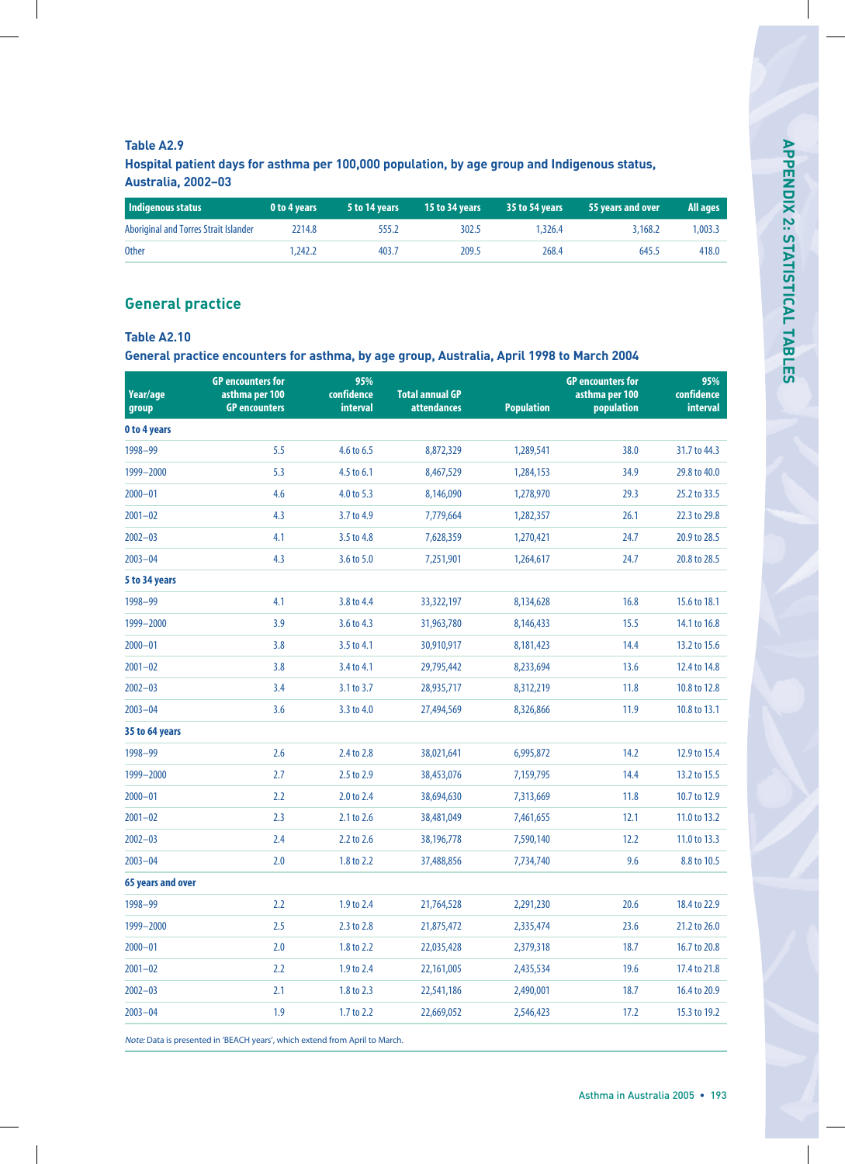#### **Table A2.9**

**Hospital patient days for asthma per 100,000 population, by age group and Indigenous status, Australia, 2002–03**

| Indigenous status                     | 0 to 4 years | 5 to 14 years | 15 to 34 years | 35 to 54 years | 55 years and over | All ages |
|---------------------------------------|--------------|---------------|----------------|----------------|-------------------|----------|
| Aboriginal and Torres Strait Islander | 2214.8       | 555.2         | 302.5          | 1.326.4        | 3,168.2           | 1.003.3  |
| <b>Other</b>                          | 1.242.2      | 403.7         | 209.5          | 268.4          | 645.5             | 418.0    |

## **General practice**

#### **Table A2.10**

**General practice encounters for asthma, by age group, Australia, April 1998 to March 2004**

| Year/age<br>group   | <b>GP</b> encounters for<br>asthma per 100<br><b>GP</b> encounters | 95%<br>confidence<br><b>interval</b> | <b>Total annual GP</b><br><b>attendances</b> | <b>Population</b> | <b>GP</b> encounters for<br>asthma per 100<br>population | 95%<br>confidence<br><b>interval</b> |
|---------------------|--------------------------------------------------------------------|--------------------------------------|----------------------------------------------|-------------------|----------------------------------------------------------|--------------------------------------|
| <b>0 to 4 years</b> |                                                                    |                                      |                                              |                   |                                                          |                                      |
| 1998-99             | 5.5                                                                | 4.6 to 6.5                           | 8,872,329                                    | 1,289,541         | 38.0                                                     | 31.7 to 44.3                         |
| 1999-2000           | 5.3                                                                | 4.5 to 6.1                           | 8,467,529                                    | 1,284,153         | 34.9                                                     | 29.8 to 40.0                         |
| $2000 - 01$         | 4.6                                                                | 4.0 to 5.3                           | 8,146,090                                    | 1,278,970         | 29.3                                                     | 25.2 to 33.5                         |
| $2001 - 02$         | 4.3                                                                | 3.7 to 4.9                           | 7,779,664                                    | 1,282,357         | 26.1                                                     | 22.3 to 29.8                         |
| $2002 - 03$         | 4.1                                                                | 3.5 to 4.8                           | 7,628,359                                    | 1,270,421         | 24.7                                                     | 20.9 to 28.5                         |
| $2003 - 04$         | 4.3                                                                | 3.6 to 5.0                           | 7,251,901                                    | 1,264,617         | 24.7                                                     | 20.8 to 28.5                         |
| 5 to 34 years       |                                                                    |                                      |                                              |                   |                                                          |                                      |
| 1998-99             | 4.1                                                                | 3.8 to 4.4                           | 33,322,197                                   | 8,134,628         | 16.8                                                     | 15.6 to 18.1                         |
| 1999-2000           | 3.9                                                                | 3.6 to 4.3                           | 31,963,780                                   | 8,146,433         | 15.5                                                     | 14.1 to 16.8                         |
| $2000 - 01$         | 3.8                                                                | 3.5 to 4.1                           | 30,910,917                                   | 8,181,423         | 14.4                                                     | 13.2 to 15.6                         |
| $2001 - 02$         | 3.8                                                                | 3.4 to 4.1                           | 29,795,442                                   | 8,233,694         | 13.6                                                     | 12.4 to 14.8                         |
| $2002 - 03$         | 3.4                                                                | 3.1 to 3.7                           | 28,935,717                                   | 8,312,219         | 11.8                                                     | 10.8 to 12.8                         |
| $2003 - 04$         | 3.6                                                                | 3.3 to 4.0                           | 27,494,569                                   | 8,326,866         | 11.9                                                     | 10.8 to 13.1                         |
| 35 to 64 years      |                                                                    |                                      |                                              |                   |                                                          |                                      |
| 1998-99             | 2.6                                                                | 2.4 to 2.8                           | 38,021,641                                   | 6,995,872         | 14.2                                                     | 12.9 to 15.4                         |
| 1999-2000           | 2.7                                                                | 2.5 to 2.9                           | 38,453,076                                   | 7,159,795         | 14.4                                                     | 13.2 to 15.5                         |
| $2000 - 01$         | 2.2                                                                | 2.0 to 2.4                           | 38,694,630                                   | 7,313,669         | 11.8                                                     | 10.7 to 12.9                         |
| $2001 - 02$         | 2.3                                                                | 2.1 to 2.6                           | 38,481,049                                   | 7,461,655         | 12.1                                                     | 11.0 to 13.2                         |
| $2002 - 03$         | 2.4                                                                | 2.2 to 2.6                           | 38,196,778                                   | 7,590,140         | 12.2                                                     | 11.0 to 13.3                         |
| $2003 - 04$         | 2.0                                                                | 1.8 to 2.2                           | 37,488,856                                   | 7,734,740         | 9.6                                                      | 8.8 to 10.5                          |
| 65 years and over   |                                                                    |                                      |                                              |                   |                                                          |                                      |
| 1998-99             | 2.2                                                                | 1.9 to 2.4                           | 21,764,528                                   | 2,291,230         | 20.6                                                     | 18.4 to 22.9                         |
| 1999-2000           | 2.5                                                                | 2.3 to 2.8                           | 21,875,472                                   | 2,335,474         | 23.6                                                     | 21.2 to 26.0                         |
| $2000 - 01$         | 2.0                                                                | 1.8 to 2.2                           | 22,035,428                                   | 2,379,318         | 18.7                                                     | 16.7 to 20.8                         |
| $2001 - 02$         | 2.2                                                                | 1.9 to 2.4                           | 22,161,005                                   | 2,435,534         | 19.6                                                     | 17.4 to 21.8                         |
| $2002 - 03$         | 2.1                                                                | 1.8 to 2.3                           | 22,541,186                                   | 2,490,001         | 18.7                                                     | 16.4 to 20.9                         |
| $2003 - 04$         | 1.9                                                                | 1.7 to 2.2                           | 22,669,052                                   | 2,546,423         | 17.2                                                     | 15.3 to 19.2                         |
|                     |                                                                    |                                      |                                              |                   |                                                          |                                      |

Note: Data is presented in 'BEACH years', which extend from April to March.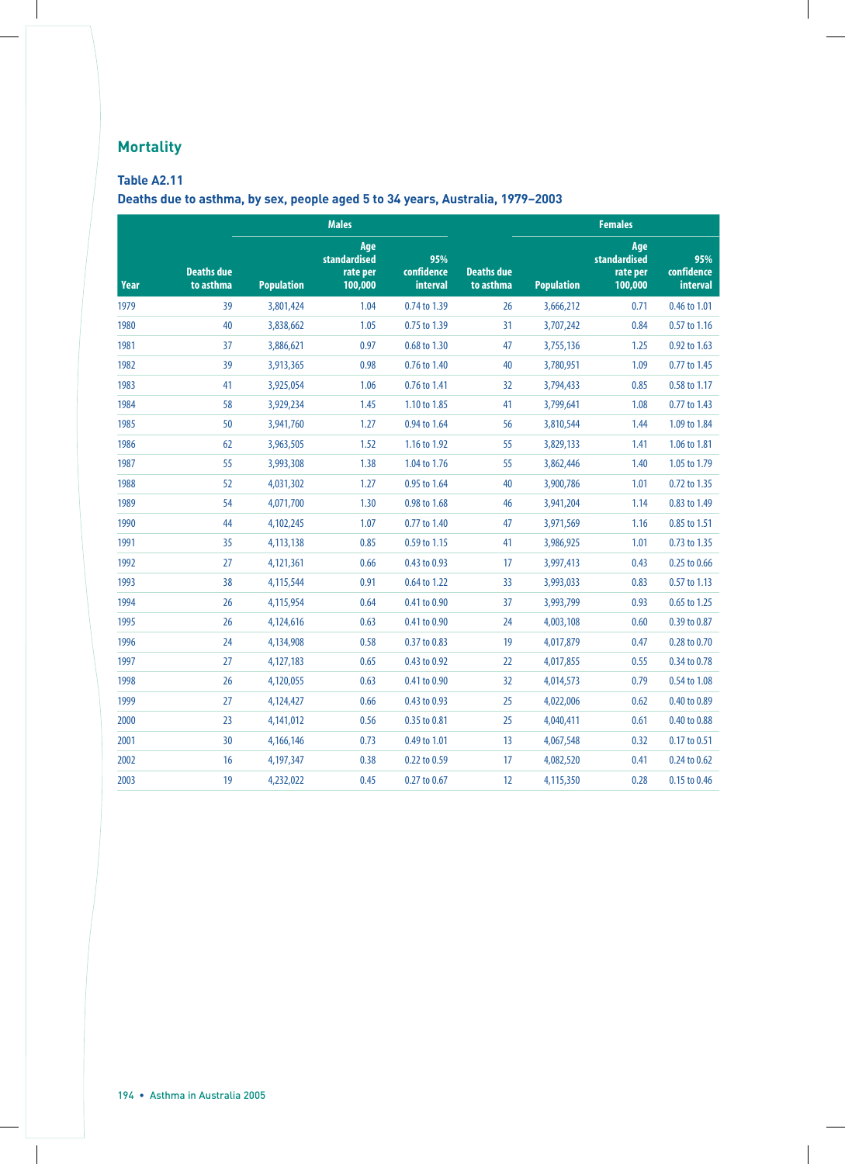# **Mortality**

## **Table A2.11**

**Deaths due to asthma, by sex, people aged 5 to 34 years, Australia, 1979–2003**

|             |                                | <b>Males</b>      |                                            |                                      | <b>Females</b>                 |                   |                                            |                               |  |
|-------------|--------------------------------|-------------------|--------------------------------------------|--------------------------------------|--------------------------------|-------------------|--------------------------------------------|-------------------------------|--|
| <b>Year</b> | <b>Deaths due</b><br>to asthma | <b>Population</b> | Age<br>standardised<br>rate per<br>100,000 | 95%<br>confidence<br><b>interval</b> | <b>Deaths due</b><br>to asthma | <b>Population</b> | Age<br>standardised<br>rate per<br>100,000 | 95%<br>confidence<br>interval |  |
| 1979        | 39                             | 3,801,424         | 1.04                                       | 0.74 to 1.39                         | 26                             | 3,666,212         | 0.71                                       | 0.46 to 1.01                  |  |
| 1980        | 40                             | 3,838,662         | 1.05                                       | 0.75 to 1.39                         | 31                             | 3,707,242         | 0.84                                       | 0.57 to 1.16                  |  |
| 1981        | 37                             | 3,886,621         | 0.97                                       | 0.68 to 1.30                         | 47                             | 3,755,136         | 1.25                                       | 0.92 to 1.63                  |  |
| 1982        | 39                             | 3,913,365         | 0.98                                       | 0.76 to 1.40                         | 40                             | 3,780,951         | 1.09                                       | 0.77 to 1.45                  |  |
| 1983        | 41                             | 3,925,054         | 1.06                                       | 0.76 to 1.41                         | 32                             | 3,794,433         | 0.85                                       | 0.58 to 1.17                  |  |
| 1984        | 58                             | 3,929,234         | 1.45                                       | 1.10 to 1.85                         | 41                             | 3,799,641         | 1.08                                       | 0.77 to 1.43                  |  |
| 1985        | 50                             | 3,941,760         | 1.27                                       | 0.94 to 1.64                         | 56                             | 3,810,544         | 1.44                                       | 1.09 to 1.84                  |  |
| 1986        | 62                             | 3,963,505         | 1.52                                       | 1.16 to 1.92                         | 55                             | 3,829,133         | 1.41                                       | 1.06 to 1.81                  |  |
| 1987        | 55                             | 3,993,308         | 1.38                                       | 1.04 to 1.76                         | 55                             | 3,862,446         | 1.40                                       | 1.05 to 1.79                  |  |
| 1988        | 52                             | 4,031,302         | 1.27                                       | 0.95 to 1.64                         | 40                             | 3,900,786         | 1.01                                       | 0.72 to 1.35                  |  |
| 1989        | 54                             | 4,071,700         | 1.30                                       | 0.98 to 1.68                         | 46                             | 3,941,204         | 1.14                                       | 0.83 to 1.49                  |  |
| 1990        | 44                             | 4,102,245         | 1.07                                       | 0.77 to 1.40                         | 47                             | 3,971,569         | 1.16                                       | 0.85 to 1.51                  |  |
| 1991        | 35                             | 4,113,138         | 0.85                                       | 0.59 to 1.15                         | 41                             | 3,986,925         | 1.01                                       | 0.73 to 1.35                  |  |
| 1992        | 27                             | 4,121,361         | 0.66                                       | 0.43 to 0.93                         | 17                             | 3,997,413         | 0.43                                       | 0.25 to 0.66                  |  |
| 1993        | 38                             | 4,115,544         | 0.91                                       | 0.64 to 1.22                         | 33                             | 3,993,033         | 0.83                                       | 0.57 to 1.13                  |  |
| 1994        | 26                             | 4,115,954         | 0.64                                       | 0.41 to 0.90                         | 37                             | 3,993,799         | 0.93                                       | 0.65 to 1.25                  |  |
| 1995        | 26                             | 4,124,616         | 0.63                                       | 0.41 to 0.90                         | 24                             | 4,003,108         | 0.60                                       | 0.39 to 0.87                  |  |
| 1996        | 24                             | 4,134,908         | 0.58                                       | 0.37 to 0.83                         | 19                             | 4,017,879         | 0.47                                       | 0.28 to 0.70                  |  |
| 1997        | 27                             | 4,127,183         | 0.65                                       | 0.43 to 0.92                         | 22                             | 4,017,855         | 0.55                                       | 0.34 to 0.78                  |  |
| 1998        | 26                             | 4,120,055         | 0.63                                       | 0.41 to 0.90                         | 32 <sup>2</sup>                | 4,014,573         | 0.79                                       | 0.54 to 1.08                  |  |
| 1999        | 27                             | 4,124,427         | 0.66                                       | 0.43 to 0.93                         | 25                             | 4,022,006         | 0.62                                       | 0.40 to 0.89                  |  |
| 2000        | 23                             | 4,141,012         | 0.56                                       | 0.35 to 0.81                         | 25                             | 4,040,411         | 0.61                                       | 0.40 to 0.88                  |  |
| 2001        | 30                             | 4,166,146         | 0.73                                       | 0.49 to 1.01                         | 13                             | 4,067,548         | 0.32                                       | 0.17 to 0.51                  |  |
| 2002        | 16                             | 4,197,347         | 0.38                                       | 0.22 to 0.59                         | 17                             | 4,082,520         | 0.41                                       | 0.24 to 0.62                  |  |
| 2003        | 19                             | 4,232,022         | 0.45                                       | 0.27 to 0.67                         | 12                             | 4,115,350         | 0.28                                       | 0.15 to 0.46                  |  |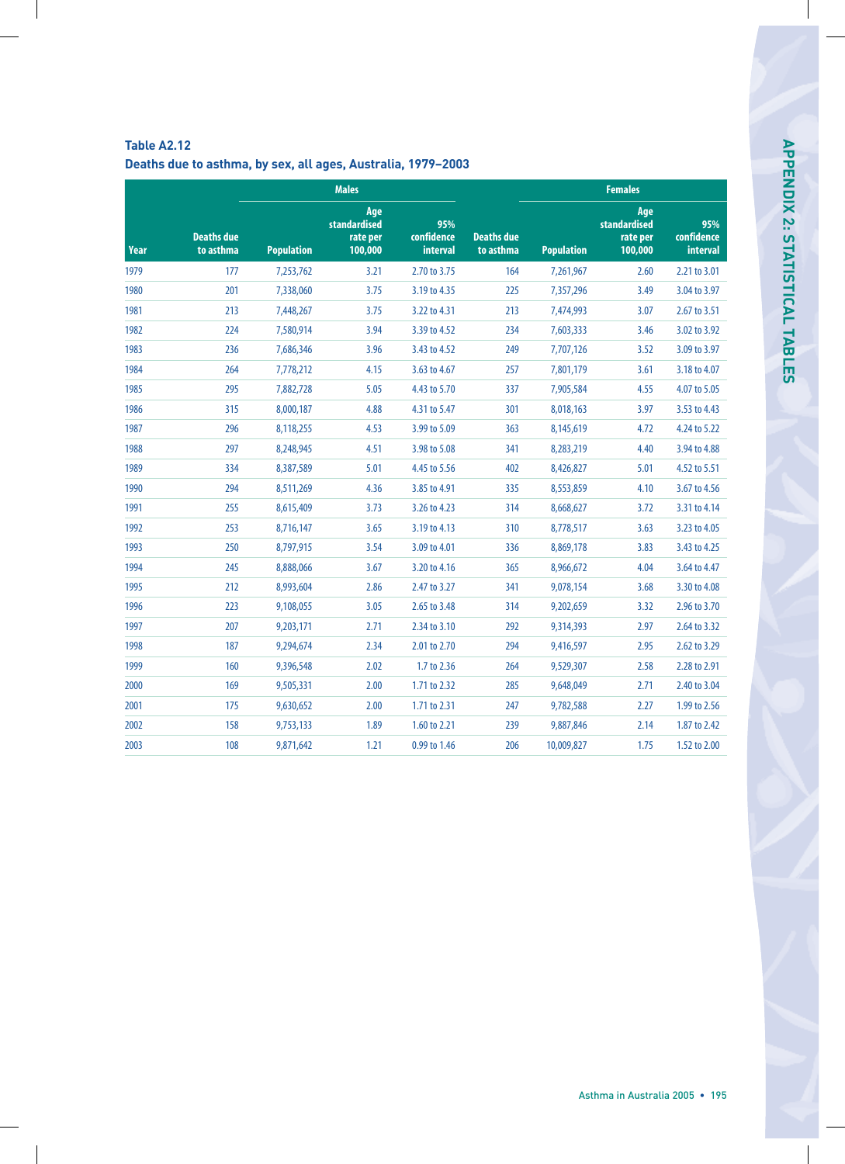|      |                                | <b>Males</b>      |                                            |                                      | <b>Females</b>                 |                   |                                            |                               |  |
|------|--------------------------------|-------------------|--------------------------------------------|--------------------------------------|--------------------------------|-------------------|--------------------------------------------|-------------------------------|--|
| Year | <b>Deaths due</b><br>to asthma | <b>Population</b> | Age<br>standardised<br>rate per<br>100,000 | 95%<br>confidence<br><b>interval</b> | <b>Deaths due</b><br>to asthma | <b>Population</b> | Age<br>standardised<br>rate per<br>100,000 | 95%<br>confidence<br>interval |  |
| 1979 | 177                            | 7,253,762         | 3.21                                       | 2.70 to 3.75                         | 164                            | 7,261,967         | 2.60                                       | 2.21 to 3.01                  |  |
| 1980 | 201                            | 7,338,060         | 3.75                                       | 3.19 to 4.35                         | 225                            | 7,357,296         | 3.49                                       | 3.04 to 3.97                  |  |
| 1981 | 213                            | 7,448,267         | 3.75                                       | 3.22 to 4.31                         | 213                            | 7,474,993         | 3.07                                       | 2.67 to 3.51                  |  |
| 1982 | 224                            | 7,580,914         | 3.94                                       | 3.39 to 4.52                         | 234                            | 7,603,333         | 3.46                                       | 3.02 to 3.92                  |  |
| 1983 | 236                            | 7,686,346         | 3.96                                       | 3.43 to 4.52                         | 249                            | 7,707,126         | 3.52                                       | 3.09 to 3.97                  |  |
| 1984 | 264                            | 7,778,212         | 4.15                                       | 3.63 to 4.67                         | 257                            | 7,801,179         | 3.61                                       | 3.18 to 4.07                  |  |
| 1985 | 295                            | 7,882,728         | 5.05                                       | 4.43 to 5.70                         | 337                            | 7,905,584         | 4.55                                       | 4.07 to 5.05                  |  |
| 1986 | 315                            | 8,000,187         | 4.88                                       | 4.31 to 5.47                         | 301                            | 8,018,163         | 3.97                                       | 3.53 to 4.43                  |  |
| 1987 | 296                            | 8,118,255         | 4.53                                       | 3.99 to 5.09                         | 363                            | 8,145,619         | 4.72                                       | 4.24 to 5.22                  |  |
| 1988 | 297                            | 8,248,945         | 4.51                                       | 3.98 to 5.08                         | 341                            | 8,283,219         | 4.40                                       | 3.94 to 4.88                  |  |
| 1989 | 334                            | 8,387,589         | 5.01                                       | 4.45 to 5.56                         | 402                            | 8,426,827         | 5.01                                       | 4.52 to 5.51                  |  |
| 1990 | 294                            | 8,511,269         | 4.36                                       | 3.85 to 4.91                         | 335                            | 8,553,859         | 4.10                                       | 3.67 to 4.56                  |  |
| 1991 | 255                            | 8,615,409         | 3.73                                       | 3.26 to 4.23                         | 314                            | 8,668,627         | 3.72                                       | 3.31 to 4.14                  |  |
| 1992 | 253                            | 8,716,147         | 3.65                                       | 3.19 to 4.13                         | 310                            | 8,778,517         | 3.63                                       | 3.23 to 4.05                  |  |
| 1993 | 250                            | 8,797,915         | 3.54                                       | 3.09 to 4.01                         | 336                            | 8,869,178         | 3.83                                       | 3.43 to 4.25                  |  |
| 1994 | 245                            | 8,888,066         | 3.67                                       | 3.20 to 4.16                         | 365                            | 8,966,672         | 4.04                                       | 3.64 to 4.47                  |  |
| 1995 | 212                            | 8,993,604         | 2.86                                       | 2.47 to 3.27                         | 341                            | 9,078,154         | 3.68                                       | 3.30 to 4.08                  |  |
| 1996 | 223                            | 9,108,055         | 3.05                                       | 2.65 to 3.48                         | 314                            | 9,202,659         | 3.32                                       | 2.96 to 3.70                  |  |
| 1997 | 207                            | 9,203,171         | 2.71                                       | 2.34 to 3.10                         | 292                            | 9,314,393         | 2.97                                       | 2.64 to 3.32                  |  |
| 1998 | 187                            | 9,294,674         | 2.34                                       | 2.01 to 2.70                         | 294                            | 9,416,597         | 2.95                                       | 2.62 to 3.29                  |  |
| 1999 | 160                            | 9,396,548         | 2.02                                       | 1.7 to 2.36                          | 264                            | 9,529,307         | 2.58                                       | 2.28 to 2.91                  |  |
| 2000 | 169                            | 9,505,331         | 2.00                                       | 1.71 to 2.32                         | 285                            | 9,648,049         | 2.71                                       | 2.40 to 3.04                  |  |
| 2001 | 175                            | 9,630,652         | 2.00                                       | 1.71 to 2.31                         | 247                            | 9,782,588         | 2.27                                       | 1.99 to 2.56                  |  |
| 2002 | 158                            | 9,753,133         | 1.89                                       | 1.60 to 2.21                         | 239                            | 9,887,846         | 2.14                                       | 1.87 to 2.42                  |  |
| 2003 | 108                            | 9,871,642         | 1.21                                       | 0.99 to 1.46                         | 206                            | 10,009,827        | 1.75                                       | 1.52 to 2.00                  |  |

### **Table A2.12 Deaths due to asthma, by sex, all ages, Australia, 1979–2003**